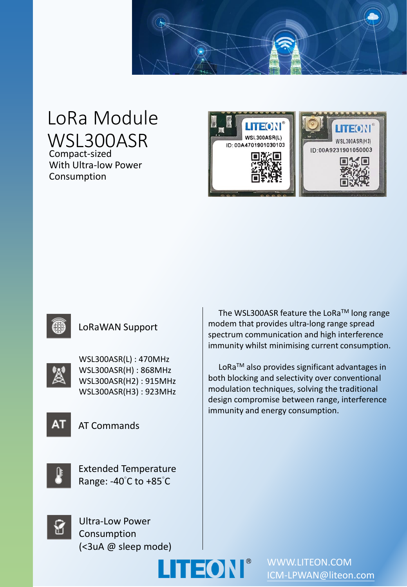

# LoRa Module WSL300ASR

Compact-sized With Ultra-low Power Consumption



#### LoRaWAN Support



WSL300ASR(L) : 470MHz WSL300ASR(H) : 868MHz WSL300ASR(H2) : 915MHz WSL300ASR(H3) : 923MHz



AT Commands



Extended Temperature Range: -40°C to +85°C

The WSL300ASR feature the LoRa™ long range modem that provides ultra-long range spread spectrum communication and high interference immunity whilst minimising current consumption.

LoRaTM also provides significant advantages in both blocking and selectivity over conventional modulation techniques, solving the traditional design compromise between range, interference immunity and energy consumption.



Ultra-Low Power Consumption (<3uA @ sleep mode)



WWW.LITEON.COM [ICM-LPWAN@liteon.com](mailto:ICM-LPWAN@liteon.com)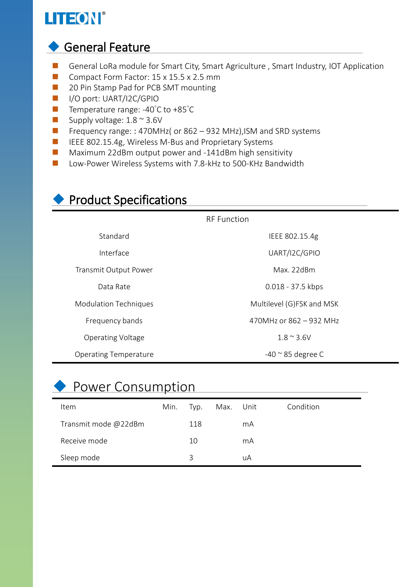# LITEON®

# ◆ General Feature

- General LoRa module for Smart City, Smart Agriculture, Smart Industry, IOT Application
- Compact Form Factor: 15 x 15.5 x 2.5 mm
- 20 Pin Stamp Pad for PCB SMT mounting
- I/O port: UART/I2C/GPIO
- Temperature range: -40°C to +85°C
- Supply voltage:  $1.8 \approx 3.6$ V
- Frequency range: : 470MHz( or 862 932 MHz), ISM and SRD systems
- IEEE 802.15.4g, Wireless M-Bus and Proprietary Systems
- Maximum 22dBm output power and -141dBm high sensitivity
- Low-Power Wireless Systems with 7.8-kHz to 500-KHz Bandwidth

## ◆ Product Specifications

| <b>RF</b> Function           |                             |  |  |  |  |
|------------------------------|-----------------------------|--|--|--|--|
| Standard                     | IEEE 802.15.4g              |  |  |  |  |
| Interface                    | UART/I2C/GPIO               |  |  |  |  |
| Transmit Output Power        | Max. 22dBm                  |  |  |  |  |
| Data Rate                    | 0.018 - 37.5 kbps           |  |  |  |  |
| <b>Modulation Techniques</b> | Multilevel (G)FSK and MSK   |  |  |  |  |
| Frequency bands              | 470MHz or 862 - 932 MHz     |  |  |  |  |
| <b>Operating Voltage</b>     | $1.8 \approx 3.6$ V         |  |  |  |  |
| <b>Operating Temperature</b> | $-40$ $\approx$ 85 degree C |  |  |  |  |

# ◆ Power Consumption

| <b>Item</b>          | Min. | Typ. | Max. Unit |    | Condition |
|----------------------|------|------|-----------|----|-----------|
| Transmit mode @22dBm |      | 118  |           | mA |           |
| Receive mode         |      | 10   |           | mA |           |
| Sleep mode           |      | 3    |           | uA |           |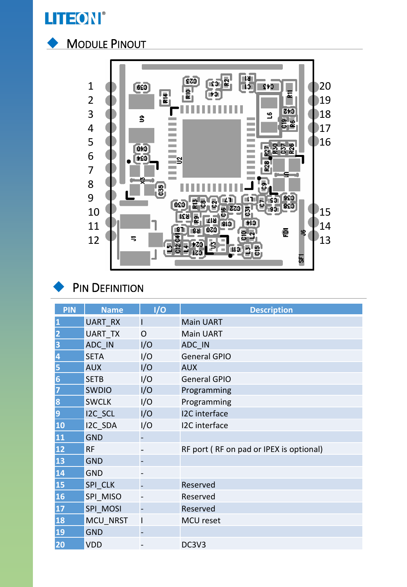





## PIN DEFINITION

| <b>PIN</b>       | <b>Name</b>    | 1/0                      | <b>Description</b>                      |
|------------------|----------------|--------------------------|-----------------------------------------|
| 1                | <b>UART RX</b> | I                        | <b>Main UART</b>                        |
| $\overline{2}$   | <b>UART TX</b> | $\Omega$                 | <b>Main UART</b>                        |
| 3                | ADC IN         | I/O                      | ADC IN                                  |
| 4                | <b>SETA</b>    | I/O                      | <b>General GPIO</b>                     |
| 5                | <b>AUX</b>     | I/O                      | <b>AUX</b>                              |
| $\boldsymbol{6}$ | <b>SETB</b>    | I/O                      | <b>General GPIO</b>                     |
| 7                | <b>SWDIO</b>   | I/O                      | Programming                             |
| 8                | <b>SWCLK</b>   | I/O                      | Programming                             |
| 9                | I2C SCL        | I/O                      | I2C interface                           |
| 10               | I2C SDA        | I/O                      | I2C interface                           |
| 11               | <b>GND</b>     |                          |                                         |
| 12               | <b>RF</b>      |                          | RF port (RF on pad or IPEX is optional) |
| 13               | <b>GND</b>     |                          |                                         |
| 14               | <b>GND</b>     |                          |                                         |
| 15               | SPI CLK        |                          | Reserved                                |
| 16               | SPI MISO       |                          | Reserved                                |
| 17               | SPI MOSI       | $\overline{\phantom{0}}$ | Reserved                                |
| 18               | MCU NRST       | $\mathsf I$              | MCU reset                               |
| 19               | <b>GND</b>     |                          |                                         |
| 20               | <b>VDD</b>     |                          | DC3V3                                   |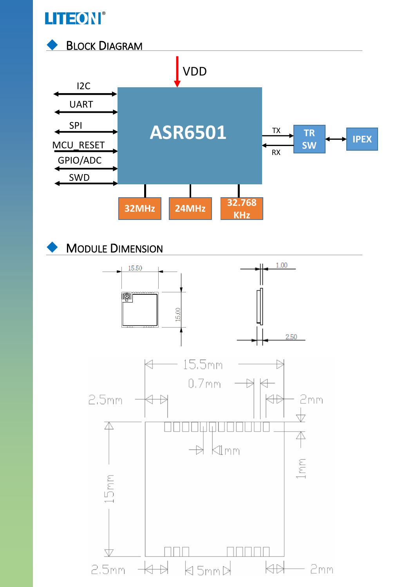



### **MODULE DIMENSION**

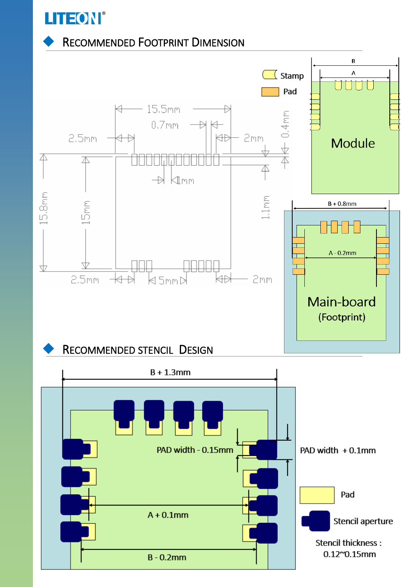

#### **RECOMMENDED FOOTPRINT DIMENSION**

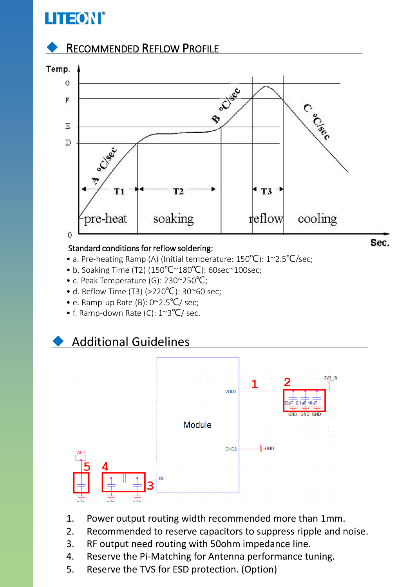# **LITEON®**

### **RECOMMENDED REFLOW PROFILE**



#### Standard conditions for reflow soldering:

- a. Pre-heating Ramp (A) (Initial temperature: 150°C): 1~2.5°C/sec;
- b. Soaking Time (T2) (150℃~180℃): 60sec~100sec;
- c. Peak Temperature (G): 230~250℃;
- d. Reflow Time (T3) (>220°C): 30~60 sec;
- e. Ramp-up Rate (B): 0~2.5℃/ sec;
- f. Ramp-down Rate (C): 1~3℃/ sec.

### **Additional Guidelines**



- 1. Power output routing width recommended more than 1mm.
- 2. Recommended to reserve capacitors to suppress ripple and noise.
- 3. RF output need routing with 50ohm impedance line.
- 4. Reserve the Pi-Matching for Antenna performance tuning.
- 5. Reserve the TVS for ESD protection. (Option)

Sec.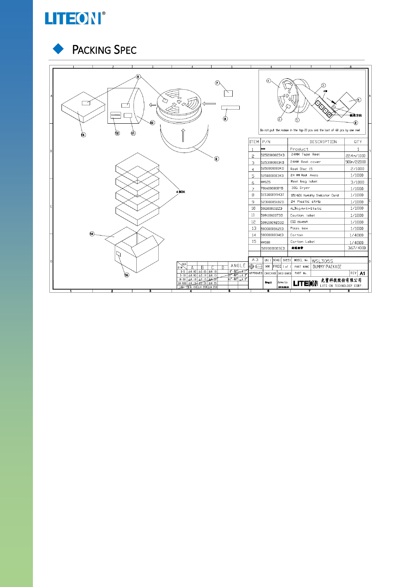

#### PACKING SPEC